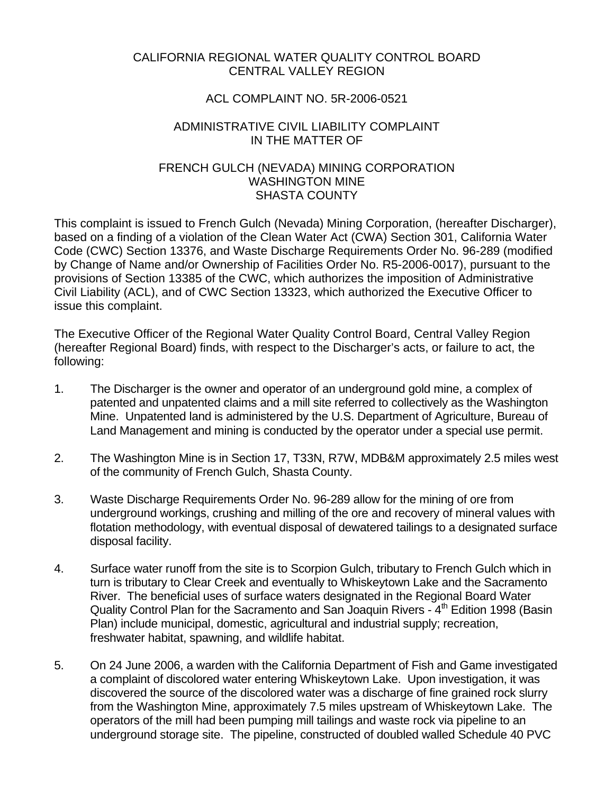### CALIFORNIA REGIONAL WATER QUALITY CONTROL BOARD CENTRAL VALLEY REGION

# ACL COMPLAINT NO. 5R-2006-0521

## ADMINISTRATIVE CIVIL LIABILITY COMPLAINT IN THE MATTER OF

## FRENCH GULCH (NEVADA) MINING CORPORATION WASHINGTON MINE SHASTA COUNTY

This complaint is issued to French Gulch (Nevada) Mining Corporation, (hereafter Discharger), based on a finding of a violation of the Clean Water Act (CWA) Section 301, California Water Code (CWC) Section 13376, and Waste Discharge Requirements Order No. 96-289 (modified by Change of Name and/or Ownership of Facilities Order No. R5-2006-0017), pursuant to the provisions of Section 13385 of the CWC, which authorizes the imposition of Administrative Civil Liability (ACL), and of CWC Section 13323, which authorized the Executive Officer to issue this complaint.

The Executive Officer of the Regional Water Quality Control Board, Central Valley Region (hereafter Regional Board) finds, with respect to the Discharger's acts, or failure to act, the following:

- 1. The Discharger is the owner and operator of an underground gold mine, a complex of patented and unpatented claims and a mill site referred to collectively as the Washington Mine. Unpatented land is administered by the U.S. Department of Agriculture, Bureau of Land Management and mining is conducted by the operator under a special use permit.
- 2. The Washington Mine is in Section 17, T33N, R7W, MDB&M approximately 2.5 miles west of the community of French Gulch, Shasta County.
- 3. Waste Discharge Requirements Order No. 96-289 allow for the mining of ore from underground workings, crushing and milling of the ore and recovery of mineral values with flotation methodology, with eventual disposal of dewatered tailings to a designated surface disposal facility.
- 4. Surface water runoff from the site is to Scorpion Gulch, tributary to French Gulch which in turn is tributary to Clear Creek and eventually to Whiskeytown Lake and the Sacramento River. The beneficial uses of surface waters designated in the Regional Board Water Quality Control Plan for the Sacramento and San Joaquin Rivers - 4<sup>th</sup> Edition 1998 (Basin Plan) include municipal, domestic, agricultural and industrial supply; recreation, freshwater habitat, spawning, and wildlife habitat.
- 5. On 24 June 2006, a warden with the California Department of Fish and Game investigated a complaint of discolored water entering Whiskeytown Lake. Upon investigation, it was discovered the source of the discolored water was a discharge of fine grained rock slurry from the Washington Mine, approximately 7.5 miles upstream of Whiskeytown Lake. The operators of the mill had been pumping mill tailings and waste rock via pipeline to an underground storage site. The pipeline, constructed of doubled walled Schedule 40 PVC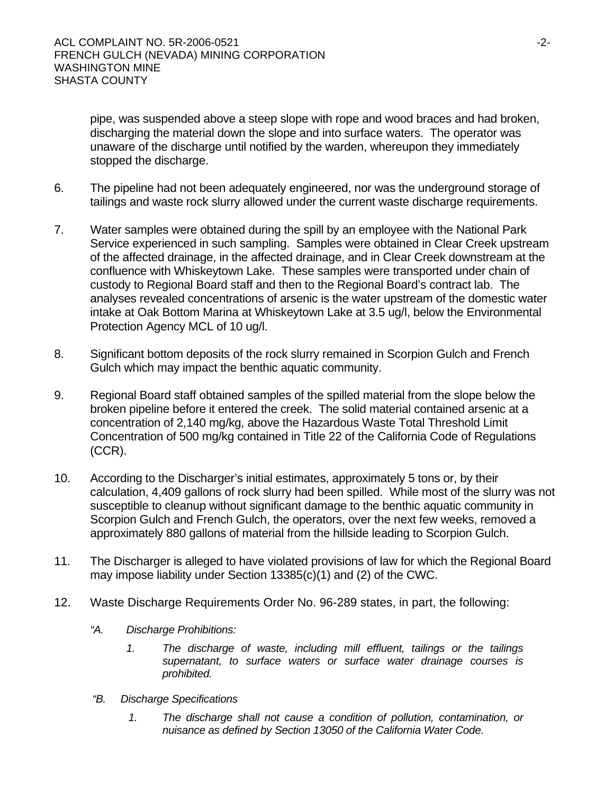pipe, was suspended above a steep slope with rope and wood braces and had broken, discharging the material down the slope and into surface waters. The operator was unaware of the discharge until notified by the warden, whereupon they immediately stopped the discharge.

- 6. The pipeline had not been adequately engineered, nor was the underground storage of tailings and waste rock slurry allowed under the current waste discharge requirements.
- 7. Water samples were obtained during the spill by an employee with the National Park Service experienced in such sampling. Samples were obtained in Clear Creek upstream of the affected drainage, in the affected drainage, and in Clear Creek downstream at the confluence with Whiskeytown Lake. These samples were transported under chain of custody to Regional Board staff and then to the Regional Board's contract lab. The analyses revealed concentrations of arsenic is the water upstream of the domestic water intake at Oak Bottom Marina at Whiskeytown Lake at 3.5 ug/l, below the Environmental Protection Agency MCL of 10 ug/l.
- 8. Significant bottom deposits of the rock slurry remained in Scorpion Gulch and French Gulch which may impact the benthic aquatic community.
- 9. Regional Board staff obtained samples of the spilled material from the slope below the broken pipeline before it entered the creek. The solid material contained arsenic at a concentration of 2,140 mg/kg, above the Hazardous Waste Total Threshold Limit Concentration of 500 mg/kg contained in Title 22 of the California Code of Regulations (CCR).
- 10. According to the Discharger's initial estimates, approximately 5 tons or, by their calculation, 4,409 gallons of rock slurry had been spilled. While most of the slurry was not susceptible to cleanup without significant damage to the benthic aquatic community in Scorpion Gulch and French Gulch, the operators, over the next few weeks, removed a approximately 880 gallons of material from the hillside leading to Scorpion Gulch.
- 11. The Discharger is alleged to have violated provisions of law for which the Regional Board may impose liability under Section 13385(c)(1) and (2) of the CWC.
- 12. Waste Discharge Requirements Order No. 96-289 states, in part, the following:
	- *"A. Discharge Prohibitions:* 
		- *1. The discharge of waste, including mill effluent, tailings or the tailings supernatant, to surface waters or surface water drainage courses is prohibited.*
	- *"B. Discharge Specifications* 
		- *1. The discharge shall not cause a condition of pollution, contamination, or nuisance as defined by Section 13050 of the California Water Code.*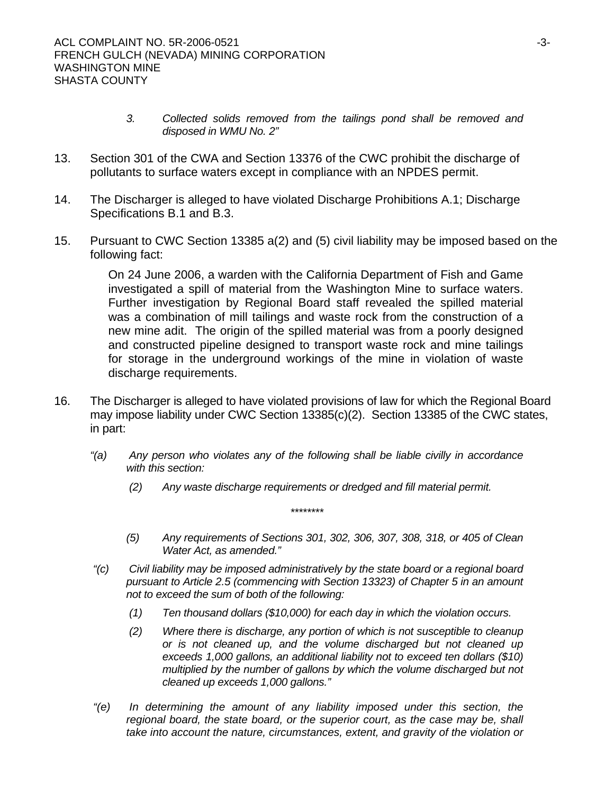- *3. Collected solids removed from the tailings pond shall be removed and disposed in WMU No. 2"*
- 13. Section 301 of the CWA and Section 13376 of the CWC prohibit the discharge of pollutants to surface waters except in compliance with an NPDES permit.
- 14. The Discharger is alleged to have violated Discharge Prohibitions A.1; Discharge Specifications B.1 and B.3.
- 15. Pursuant to CWC Section 13385 a(2) and (5) civil liability may be imposed based on the following fact:

On 24 June 2006, a warden with the California Department of Fish and Game investigated a spill of material from the Washington Mine to surface waters. Further investigation by Regional Board staff revealed the spilled material was a combination of mill tailings and waste rock from the construction of a new mine adit. The origin of the spilled material was from a poorly designed and constructed pipeline designed to transport waste rock and mine tailings for storage in the underground workings of the mine in violation of waste discharge requirements.

- 16. The Discharger is alleged to have violated provisions of law for which the Regional Board may impose liability under CWC Section 13385(c)(2). Section 13385 of the CWC states, in part:
	- *"(a) Any person who violates any of the following shall be liable civilly in accordance with this section:* 
		- *(2) Any waste discharge requirements or dredged and fill material permit.*

*\*\*\*\*\*\*\*\** 

- *(5) Any requirements of Sections 301, 302, 306, 307, 308, 318, or 405 of Clean Water Act, as amended."*
- *"(c) Civil liability may be imposed administratively by the state board or a regional board pursuant to Article 2.5 (commencing with Section 13323) of Chapter 5 in an amount not to exceed the sum of both of the following:* 
	- *(1) Ten thousand dollars (\$10,000) for each day in which the violation occurs.*
	- *(2) Where there is discharge, any portion of which is not susceptible to cleanup or is not cleaned up, and the volume discharged but not cleaned up exceeds 1,000 gallons, an additional liability not to exceed ten dollars (\$10) multiplied by the number of gallons by which the volume discharged but not cleaned up exceeds 1,000 gallons."*
- *"(e) In determining the amount of any liability imposed under this section, the regional board, the state board, or the superior court, as the case may be, shall take into account the nature, circumstances, extent, and gravity of the violation or*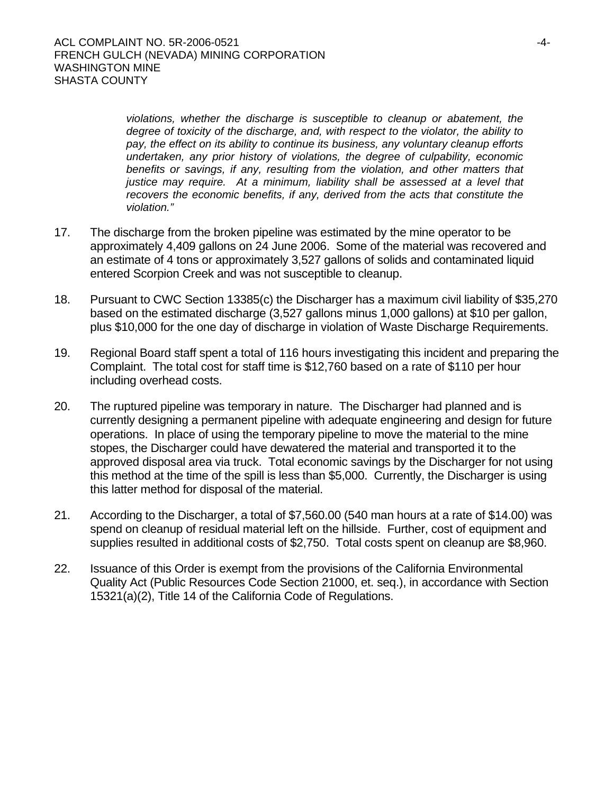*violations, whether the discharge is susceptible to cleanup or abatement, the degree of toxicity of the discharge, and, with respect to the violator, the ability to pay, the effect on its ability to continue its business, any voluntary cleanup efforts undertaken, any prior history of violations, the degree of culpability, economic*  benefits or savings, if any, resulting from the violation, and other matters that *justice may require. At a minimum, liability shall be assessed at a level that recovers the economic benefits, if any, derived from the acts that constitute the violation."*

- 17. The discharge from the broken pipeline was estimated by the mine operator to be approximately 4,409 gallons on 24 June 2006. Some of the material was recovered and an estimate of 4 tons or approximately 3,527 gallons of solids and contaminated liquid entered Scorpion Creek and was not susceptible to cleanup.
- 18. Pursuant to CWC Section 13385(c) the Discharger has a maximum civil liability of \$35,270 based on the estimated discharge (3,527 gallons minus 1,000 gallons) at \$10 per gallon, plus \$10,000 for the one day of discharge in violation of Waste Discharge Requirements.
- 19. Regional Board staff spent a total of 116 hours investigating this incident and preparing the Complaint. The total cost for staff time is \$12,760 based on a rate of \$110 per hour including overhead costs.
- 20. The ruptured pipeline was temporary in nature. The Discharger had planned and is currently designing a permanent pipeline with adequate engineering and design for future operations. In place of using the temporary pipeline to move the material to the mine stopes, the Discharger could have dewatered the material and transported it to the approved disposal area via truck. Total economic savings by the Discharger for not using this method at the time of the spill is less than \$5,000. Currently, the Discharger is using this latter method for disposal of the material.
- 21. According to the Discharger, a total of \$7,560.00 (540 man hours at a rate of \$14.00) was spend on cleanup of residual material left on the hillside. Further, cost of equipment and supplies resulted in additional costs of \$2,750. Total costs spent on cleanup are \$8,960.
- 22. Issuance of this Order is exempt from the provisions of the California Environmental Quality Act (Public Resources Code Section 21000, et. seq.), in accordance with Section 15321(a)(2), Title 14 of the California Code of Regulations.